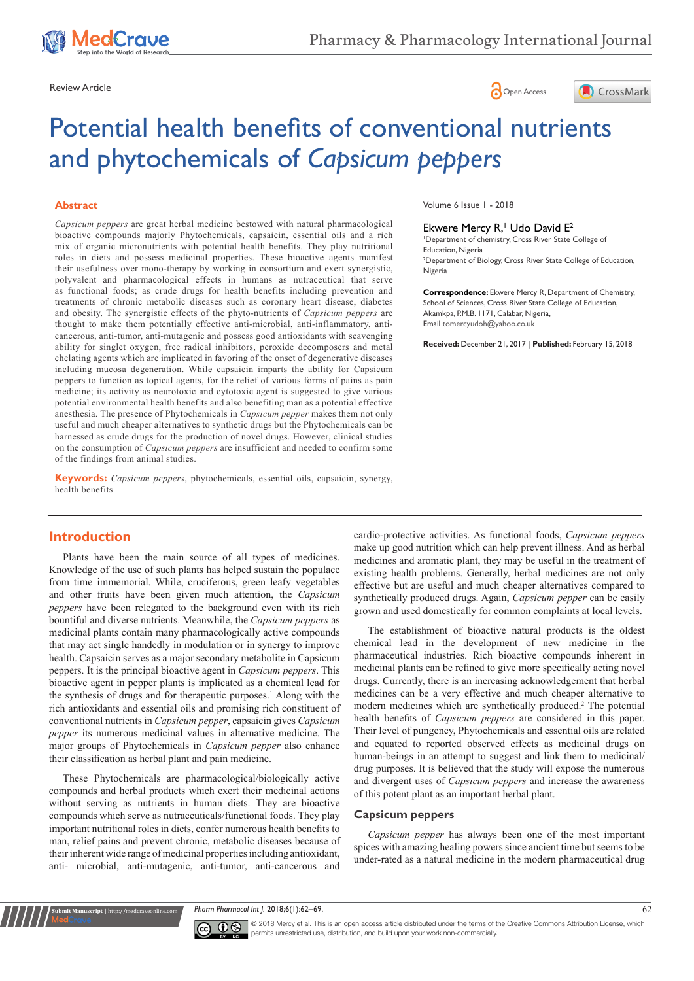





# Potential health benefits of conventional nutrients and phytochemicals of *Capsicum peppers*

#### **Abstract**

*Capsicum peppers* are great herbal medicine bestowed with natural pharmacological bioactive compounds majorly Phytochemicals, capsaicin, essential oils and a rich mix of organic micronutrients with potential health benefits. They play nutritional roles in diets and possess medicinal properties. These bioactive agents manifest their usefulness over mono-therapy by working in consortium and exert synergistic, polyvalent and pharmacological effects in humans as nutraceutical that serve as functional foods; as crude drugs for health benefits including prevention and treatments of chronic metabolic diseases such as coronary heart disease, diabetes and obesity. The synergistic effects of the phyto-nutrients of *Capsicum peppers* are thought to make them potentially effective anti-microbial, anti-inflammatory, anticancerous, anti-tumor, anti-mutagenic and possess good antioxidants with scavenging ability for singlet oxygen, free radical inhibitors, peroxide decomposers and metal chelating agents which are implicated in favoring of the onset of degenerative diseases including mucosa degeneration. While capsaicin imparts the ability for Capsicum peppers to function as topical agents, for the relief of various forms of pains as pain medicine; its activity as neurotoxic and cytotoxic agent is suggested to give various potential environmental health benefits and also benefiting man as a potential effective anesthesia. The presence of Phytochemicals in *Capsicum pepper* makes them not only useful and much cheaper alternatives to synthetic drugs but the Phytochemicals can be harnessed as crude drugs for the production of novel drugs. However, clinical studies on the consumption of *Capsicum peppers* are insufficient and needed to confirm some of the findings from animal studies.

**Keywords:** *Capsicum peppers*, phytochemicals, essential oils, capsaicin, synergy, health benefits

## **Introduction**

Plants have been the main source of all types of medicines. Knowledge of the use of such plants has helped sustain the populace from time immemorial. While, cruciferous, green leafy vegetables and other fruits have been given much attention, the *Capsicum peppers* have been relegated to the background even with its rich bountiful and diverse nutrients. Meanwhile, the *Capsicum peppers* as medicinal plants contain many pharmacologically active compounds that may act single handedly in modulation or in synergy to improve health. Capsaicin serves as a major secondary metabolite in Capsicum peppers. It is the principal bioactive agent in *Capsicum peppers*. This bioactive agent in pepper plants is implicated as a chemical lead for the synthesis of drugs and for therapeutic purposes.<sup>1</sup> Along with the rich antioxidants and essential oils and promising rich constituent of conventional nutrients in *Capsicum pepper*, capsaicin gives *Capsicum pepper* its numerous medicinal values in alternative medicine. The major groups of Phytochemicals in *Capsicum pepper* also enhance their classification as herbal plant and pain medicine.

These Phytochemicals are pharmacological/biologically active compounds and herbal products which exert their medicinal actions without serving as nutrients in human diets. They are bioactive compounds which serve as nutraceuticals/functional foods. They play important nutritional roles in diets, confer numerous health benefits to man, relief pains and prevent chronic, metabolic diseases because of their inherent wide range of medicinal properties including antioxidant, anti- microbial, anti-mutagenic, anti-tumor, anti-cancerous and

**nit Manuscript** | http://medcraveonline.c

Volume 6 Issue 1 - 2018

#### Ekwere Mercy R,<sup>1</sup> Udo David E<sup>2</sup>

1 Department of chemistry, Cross River State College of Education, Nigeria 2 Department of Biology, Cross River State College of Education, Nigeria

**Correspondence:** Ekwere Mercy R, Department of Chemistry, School of Sciences, Cross River State College of Education, Akamkpa, P.M.B. 1171, Calabar, Nigeria, Email tomercyudoh@yahoo.co.uk

**Received:** December 21, 2017 | **Published:** February 15, 2018

cardio-protective activities. As functional foods, *Capsicum peppers*  make up good nutrition which can help prevent illness. And as herbal medicines and aromatic plant, they may be useful in the treatment of existing health problems. Generally, herbal medicines are not only effective but are useful and much cheaper alternatives compared to synthetically produced drugs. Again, *Capsicum pepper* can be easily grown and used domestically for common complaints at local levels.

The establishment of bioactive natural products is the oldest chemical lead in the development of new medicine in the pharmaceutical industries. Rich bioactive compounds inherent in medicinal plants can be refined to give more specifically acting novel drugs. Currently, there is an increasing acknowledgement that herbal medicines can be a very effective and much cheaper alternative to modern medicines which are synthetically produced.<sup>2</sup> The potential health benefits of *Capsicum peppers* are considered in this paper. Their level of pungency, Phytochemicals and essential oils are related and equated to reported observed effects as medicinal drugs on human-beings in an attempt to suggest and link them to medicinal/ drug purposes. It is believed that the study will expose the numerous and divergent uses of *Capsicum peppers* and increase the awareness of this potent plant as an important herbal plant.

#### **Capsicum peppers**

*Capsicum pepper* has always been one of the most important spices with amazing healing powers since ancient time but seems to be under-rated as a natural medicine in the modern pharmaceutical drug

*Pharm Pharmacol Int J.* 2018;6(1):62‒69. 62



© 2018 Mercy et al. This is an open access article distributed under the terms of the [Creative Commons Attribution License,](https://creativecommons.org/licenses/by-nc/4.0/) which permits unrestricted use, distribution, and build upon your work non-commercially.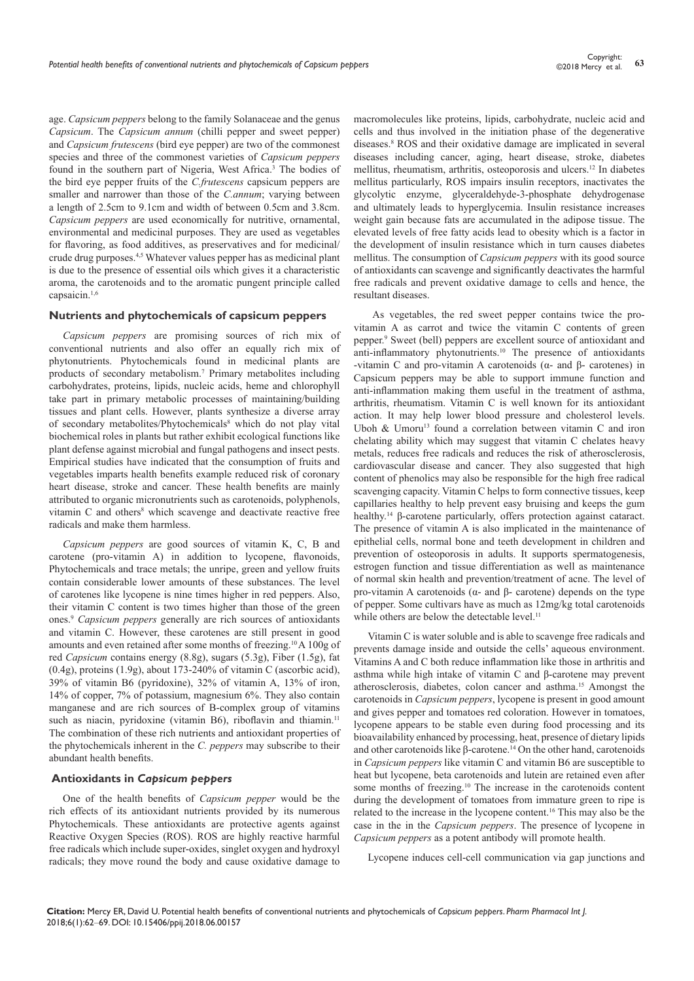age. *Capsicum peppers* belong to the family Solanaceae and the genus *Capsicum*. The *Capsicum annum* (chilli pepper and sweet pepper) and *Capsicum frutescens* (bird eye pepper) are two of the commonest species and three of the commonest varieties of *Capsicum peppers* found in the southern part of Nigeria, West Africa.<sup>3</sup> The bodies of the bird eye pepper fruits of the *C.frutescens* capsicum peppers are smaller and narrower than those of the *C.annum*; varying between a length of 2.5cm to 9.1cm and width of between 0.5cm and 3.8cm. *Capsicum peppers* are used economically for nutritive, ornamental, environmental and medicinal purposes. They are used as vegetables for flavoring, as food additives, as preservatives and for medicinal/ crude drug purposes.4,5 Whatever values pepper has as medicinal plant is due to the presence of essential oils which gives it a characteristic aroma, the carotenoids and to the aromatic pungent principle called capsaicin.1,6

#### **Nutrients and phytochemicals of capsicum peppers**

*Capsicum peppers* are promising sources of rich mix of conventional nutrients and also offer an equally rich mix of phytonutrients. Phytochemicals found in medicinal plants are products of secondary metabolism.7 Primary metabolites including carbohydrates, proteins, lipids, nucleic acids, heme and chlorophyll take part in primary metabolic processes of maintaining/building tissues and plant cells. However, plants synthesize a diverse array of secondary metabolites/Phytochemicals<sup>8</sup> which do not play vital biochemical roles in plants but rather exhibit ecological functions like plant defense against microbial and fungal pathogens and insect pests. Empirical studies have indicated that the consumption of fruits and vegetables imparts health benefits example reduced risk of coronary heart disease, stroke and cancer. These health benefits are mainly attributed to organic micronutrients such as carotenoids, polyphenols, vitamin C and others<sup>8</sup> which scavenge and deactivate reactive free radicals and make them harmless.

*Capsicum peppers* are good sources of vitamin K, C, B and carotene (pro-vitamin A) in addition to lycopene, flavonoids, Phytochemicals and trace metals; the unripe, green and yellow fruits contain considerable lower amounts of these substances. The level of carotenes like lycopene is nine times higher in red peppers. Also, their vitamin C content is two times higher than those of the green ones.9 *Capsicum peppers* generally are rich sources of antioxidants and vitamin C. However, these carotenes are still present in good amounts and even retained after some months of freezing.10 A 100g of red *Capsicum* contains energy (8.8g), sugars (5.3g), Fiber (1.5g), fat (0.4g), proteins (1.9g), about 173-240% of vitamin C (ascorbic acid), 39% of vitamin B6 (pyridoxine), 32% of vitamin A, 13% of iron, 14% of copper, 7% of potassium, magnesium 6%. They also contain manganese and are rich sources of B-complex group of vitamins such as niacin, pyridoxine (vitamin B6), riboflavin and thiamin.<sup>11</sup> The combination of these rich nutrients and antioxidant properties of the phytochemicals inherent in the *C. peppers* may subscribe to their abundant health benefits.

#### **Antioxidants in** *Capsicum peppers*

One of the health benefits of *Capsicum pepper* would be the rich effects of its antioxidant nutrients provided by its numerous Phytochemicals. These antioxidants are protective agents against Reactive Oxygen Species (ROS). ROS are highly reactive harmful free radicals which include super-oxides, singlet oxygen and hydroxyl radicals; they move round the body and cause oxidative damage to

macromolecules like proteins, lipids, carbohydrate, nucleic acid and cells and thus involved in the initiation phase of the degenerative diseases.8 ROS and their oxidative damage are implicated in several diseases including cancer, aging, heart disease, stroke, diabetes mellitus, rheumatism, arthritis, osteoporosis and ulcers.12 In diabetes mellitus particularly, ROS impairs insulin receptors, inactivates the glycolytic enzyme, glyceraldehyde-3-phosphate dehydrogenase and ultimately leads to hyperglycemia. Insulin resistance increases weight gain because fats are accumulated in the adipose tissue. The elevated levels of free fatty acids lead to obesity which is a factor in the development of insulin resistance which in turn causes diabetes mellitus. The consumption of *Capsicum peppers* with its good source of antioxidants can scavenge and significantly deactivates the harmful free radicals and prevent oxidative damage to cells and hence, the resultant diseases.

 As vegetables, the red sweet pepper contains twice the provitamin A as carrot and twice the vitamin C contents of green pepper.9 Sweet (bell) peppers are excellent source of antioxidant and anti-inflammatory phytonutrients.10 The presence of antioxidants -vitamin C and pro-vitamin A carotenoids (α- and β- carotenes) in Capsicum peppers may be able to support immune function and anti-inflammation making them useful in the treatment of asthma, arthritis, rheumatism. Vitamin C is well known for its antioxidant action. It may help lower blood pressure and cholesterol levels. Uboh  $&$  Umoru<sup>13</sup> found a correlation between vitamin C and iron chelating ability which may suggest that vitamin C chelates heavy metals, reduces free radicals and reduces the risk of atherosclerosis, cardiovascular disease and cancer. They also suggested that high content of phenolics may also be responsible for the high free radical scavenging capacity. Vitamin C helps to form connective tissues, keep capillaries healthy to help prevent easy bruising and keeps the gum healthy.14 β-carotene particularly, offers protection against cataract. The presence of vitamin A is also implicated in the maintenance of epithelial cells, normal bone and teeth development in children and prevention of osteoporosis in adults. It supports spermatogenesis, estrogen function and tissue differentiation as well as maintenance of normal skin health and prevention/treatment of acne. The level of pro-vitamin A carotenoids (α- and β- carotene) depends on the type of pepper. Some cultivars have as much as 12mg/kg total carotenoids while others are below the detectable level.<sup>11</sup>

Vitamin C is water soluble and is able to scavenge free radicals and prevents damage inside and outside the cells' aqueous environment. Vitamins A and C both reduce inflammation like those in arthritis and asthma while high intake of vitamin C and β-carotene may prevent atherosclerosis, diabetes, colon cancer and asthma.15 Amongst the carotenoids in *Capsicum peppers*, lycopene is present in good amount and gives pepper and tomatoes red coloration. However in tomatoes, lycopene appears to be stable even during food processing and its bioavailability enhanced by processing, heat, presence of dietary lipids and other carotenoids like β-carotene.14 On the other hand, carotenoids in *Capsicum peppers* like vitamin C and vitamin B6 are susceptible to heat but lycopene, beta carotenoids and lutein are retained even after some months of freezing.<sup>10</sup> The increase in the carotenoids content during the development of tomatoes from immature green to ripe is related to the increase in the lycopene content.16 This may also be the case in the in the *Capsicum peppers*. The presence of lycopene in *Capsicum peppers* as a potent antibody will promote health.

Lycopene induces cell-cell communication via gap junctions and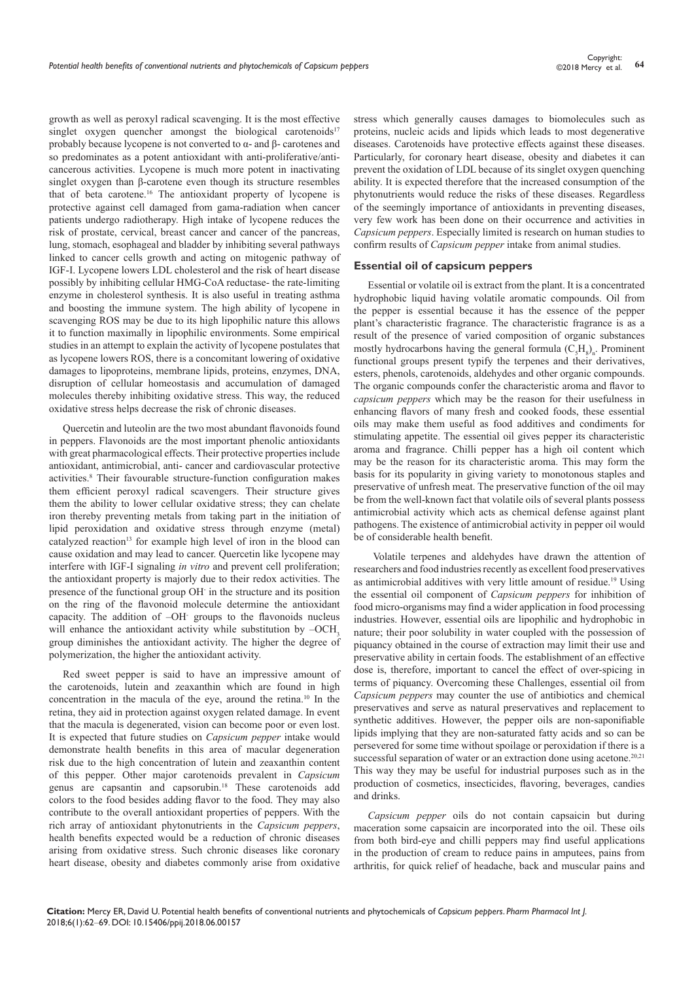growth as well as peroxyl radical scavenging. It is the most effective singlet oxygen quencher amongst the biological carotenoids<sup>17</sup> probably because lycopene is not converted to α- and β- carotenes and so predominates as a potent antioxidant with anti-proliferative/anticancerous activities. Lycopene is much more potent in inactivating singlet oxygen than β-carotene even though its structure resembles that of beta carotene.16 The antioxidant property of lycopene is protective against cell damaged from gama-radiation when cancer patients undergo radiotherapy. High intake of lycopene reduces the risk of prostate, cervical, breast cancer and cancer of the pancreas, lung, stomach, esophageal and bladder by inhibiting several pathways linked to cancer cells growth and acting on mitogenic pathway of IGF-I. Lycopene lowers LDL cholesterol and the risk of heart disease possibly by inhibiting cellular HMG-CoA reductase- the rate-limiting enzyme in cholesterol synthesis. It is also useful in treating asthma and boosting the immune system. The high ability of lycopene in scavenging ROS may be due to its high lipophilic nature this allows it to function maximally in lipophilic environments. Some empirical studies in an attempt to explain the activity of lycopene postulates that as lycopene lowers ROS, there is a concomitant lowering of oxidative damages to lipoproteins, membrane lipids, proteins, enzymes, DNA, disruption of cellular homeostasis and accumulation of damaged molecules thereby inhibiting oxidative stress. This way, the reduced oxidative stress helps decrease the risk of chronic diseases.

Quercetin and luteolin are the two most abundant flavonoids found in peppers. Flavonoids are the most important phenolic antioxidants with great pharmacological effects. Their protective properties include antioxidant, antimicrobial, anti- cancer and cardiovascular protective activities.<sup>8</sup> Their favourable structure-function configuration makes them efficient peroxyl radical scavengers. Their structure gives them the ability to lower cellular oxidative stress; they can chelate iron thereby preventing metals from taking part in the initiation of lipid peroxidation and oxidative stress through enzyme (metal) catalyzed reaction<sup>13</sup> for example high level of iron in the blood can cause oxidation and may lead to cancer. Quercetin like lycopene may interfere with IGF-I signaling *in vitro* and prevent cell proliferation; the antioxidant property is majorly due to their redox activities. The presence of the functional group OH- in the structure and its position on the ring of the flavonoid molecule determine the antioxidant capacity. The addition of –OH- groups to the flavonoids nucleus will enhance the antioxidant activity while substitution by  $-OCH<sub>3</sub>$ group diminishes the antioxidant activity. The higher the degree of polymerization, the higher the antioxidant activity.

Red sweet pepper is said to have an impressive amount of the carotenoids, lutein and zeaxanthin which are found in high concentration in the macula of the eye, around the retina.10 In the retina, they aid in protection against oxygen related damage. In event that the macula is degenerated, vision can become poor or even lost. It is expected that future studies on *Capsicum pepper* intake would demonstrate health benefits in this area of macular degeneration risk due to the high concentration of lutein and zeaxanthin content of this pepper. Other major carotenoids prevalent in *Capsicum* genus are capsantin and capsorubin.18 These carotenoids add colors to the food besides adding flavor to the food. They may also contribute to the overall antioxidant properties of peppers. With the rich array of antioxidant phytonutrients in the *Capsicum peppers*, health benefits expected would be a reduction of chronic diseases arising from oxidative stress. Such chronic diseases like coronary heart disease, obesity and diabetes commonly arise from oxidative

stress which generally causes damages to biomolecules such as proteins, nucleic acids and lipids which leads to most degenerative diseases. Carotenoids have protective effects against these diseases. Particularly, for coronary heart disease, obesity and diabetes it can prevent the oxidation of LDL because of its singlet oxygen quenching ability. It is expected therefore that the increased consumption of the phytonutrients would reduce the risks of these diseases. Regardless of the seemingly importance of antioxidants in preventing diseases, very few work has been done on their occurrence and activities in *Capsicum peppers*. Especially limited is research on human studies to confirm results of *Capsicum pepper* intake from animal studies.

#### **Essential oil of capsicum peppers**

Essential or volatile oil is extract from the plant. It is a concentrated hydrophobic liquid having volatile aromatic compounds. Oil from the pepper is essential because it has the essence of the pepper plant's characteristic fragrance. The characteristic fragrance is as a result of the presence of varied composition of organic substances mostly hydrocarbons having the general formula  $(C_{\rm s}H_{\rm s})_{\rm n}$ . Prominent functional groups present typify the terpenes and their derivatives, esters, phenols, carotenoids, aldehydes and other organic compounds. The organic compounds confer the characteristic aroma and flavor to *capsicum peppers* which may be the reason for their usefulness in enhancing flavors of many fresh and cooked foods, these essential oils may make them useful as food additives and condiments for stimulating appetite. The essential oil gives pepper its characteristic aroma and fragrance. Chilli pepper has a high oil content which may be the reason for its characteristic aroma. This may form the basis for its popularity in giving variety to monotonous staples and preservative of unfresh meat. The preservative function of the oil may be from the well-known fact that volatile oils of several plants possess antimicrobial activity which acts as chemical defense against plant pathogens. The existence of antimicrobial activity in pepper oil would be of considerable health benefit.

 Volatile terpenes and aldehydes have drawn the attention of researchers and food industries recently as excellent food preservatives as antimicrobial additives with very little amount of residue.19 Using the essential oil component of *Capsicum peppers* for inhibition of food micro-organisms may find a wider application in food processing industries. However, essential oils are lipophilic and hydrophobic in nature; their poor solubility in water coupled with the possession of piquancy obtained in the course of extraction may limit their use and preservative ability in certain foods. The establishment of an effective dose is, therefore, important to cancel the effect of over-spicing in terms of piquancy. Overcoming these Challenges, essential oil from *Capsicum peppers* may counter the use of antibiotics and chemical preservatives and serve as natural preservatives and replacement to synthetic additives. However, the pepper oils are non-saponifiable lipids implying that they are non-saturated fatty acids and so can be persevered for some time without spoilage or peroxidation if there is a successful separation of water or an extraction done using acetone.<sup>20,21</sup> This way they may be useful for industrial purposes such as in the production of cosmetics, insecticides, flavoring, beverages, candies and drinks.

*Capsicum pepper* oils do not contain capsaicin but during maceration some capsaicin are incorporated into the oil. These oils from both bird-eye and chilli peppers may find useful applications in the production of cream to reduce pains in amputees, pains from arthritis, for quick relief of headache, back and muscular pains and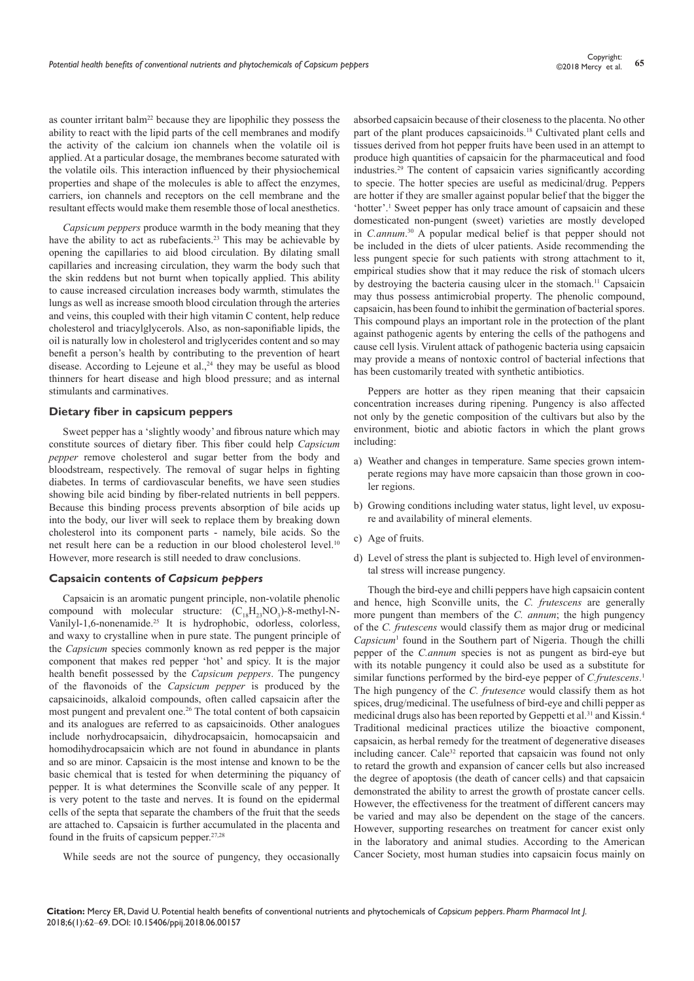as counter irritant balm<sup>22</sup> because they are lipophilic they possess the ability to react with the lipid parts of the cell membranes and modify the activity of the calcium ion channels when the volatile oil is applied. At a particular dosage, the membranes become saturated with the volatile oils. This interaction influenced by their physiochemical properties and shape of the molecules is able to affect the enzymes, carriers, ion channels and receptors on the cell membrane and the resultant effects would make them resemble those of local anesthetics.

*Capsicum peppers* produce warmth in the body meaning that they have the ability to act as rubefacients.<sup>23</sup> This may be achievable by opening the capillaries to aid blood circulation. By dilating small capillaries and increasing circulation, they warm the body such that the skin reddens but not burnt when topically applied. This ability to cause increased circulation increases body warmth, stimulates the lungs as well as increase smooth blood circulation through the arteries and veins, this coupled with their high vitamin C content, help reduce cholesterol and triacylglycerols. Also, as non-saponifiable lipids, the oil is naturally low in cholesterol and triglycerides content and so may benefit a person's health by contributing to the prevention of heart disease. According to Lejeune et al.,<sup>24</sup> they may be useful as blood thinners for heart disease and high blood pressure; and as internal stimulants and carminatives.

#### **Dietary fiber in capsicum peppers**

Sweet pepper has a 'slightly woody' and fibrous nature which may constitute sources of dietary fiber. This fiber could help *Capsicum pepper* remove cholesterol and sugar better from the body and bloodstream, respectively. The removal of sugar helps in fighting diabetes. In terms of cardiovascular benefits, we have seen studies showing bile acid binding by fiber-related nutrients in bell peppers. Because this binding process prevents absorption of bile acids up into the body, our liver will seek to replace them by breaking down cholesterol into its component parts - namely, bile acids. So the net result here can be a reduction in our blood cholesterol level.<sup>10</sup> However, more research is still needed to draw conclusions.

#### **Capsaicin contents of** *Capsicum peppers*

Capsaicin is an aromatic pungent principle, non-volatile phenolic compound with molecular structure:  $(C_{18}H_{23}NO_3)$ -8-methyl-N-Vanilyl-1,6-nonenamide.25 It is hydrophobic, odorless, colorless, and waxy to crystalline when in pure state. The pungent principle of the *Capsicum* species commonly known as red pepper is the major component that makes red pepper 'hot' and spicy. It is the major health benefit possessed by the *Capsicum peppers*. The pungency of the flavonoids of the *Capsicum pepper* is produced by the capsaicinoids, alkaloid compounds, often called capsaicin after the most pungent and prevalent one.<sup>26</sup> The total content of both capsaicin and its analogues are referred to as capsaicinoids. Other analogues include norhydrocapsaicin, dihydrocapsaicin, homocapsaicin and homodihydrocapsaicin which are not found in abundance in plants and so are minor. Capsaicin is the most intense and known to be the basic chemical that is tested for when determining the piquancy of pepper. It is what determines the Sconville scale of any pepper. It is very potent to the taste and nerves. It is found on the epidermal cells of the septa that separate the chambers of the fruit that the seeds are attached to. Capsaicin is further accumulated in the placenta and found in the fruits of capsicum pepper.27,28

While seeds are not the source of pungency, they occasionally

absorbed capsaicin because of their closeness to the placenta. No other part of the plant produces capsaicinoids.<sup>18</sup> Cultivated plant cells and tissues derived from hot pepper fruits have been used in an attempt to produce high quantities of capsaicin for the pharmaceutical and food industries.29 The content of capsaicin varies significantly according to specie. The hotter species are useful as medicinal/drug. Peppers are hotter if they are smaller against popular belief that the bigger the 'hotter'.<sup>1</sup> Sweet pepper has only trace amount of capsaicin and these domesticated non-pungent (sweet) varieties are mostly developed in *C.annum*. 30 A popular medical belief is that pepper should not be included in the diets of ulcer patients. Aside recommending the less pungent specie for such patients with strong attachment to it, empirical studies show that it may reduce the risk of stomach ulcers by destroying the bacteria causing ulcer in the stomach.<sup>11</sup> Capsaicin may thus possess antimicrobial property. The phenolic compound, capsaicin, has been found to inhibit the germination of bacterial spores. This compound plays an important role in the protection of the plant against pathogenic agents by entering the cells of the pathogens and cause cell lysis. Virulent attack of pathogenic bacteria using capsaicin may provide a means of nontoxic control of bacterial infections that has been customarily treated with synthetic antibiotics.

Peppers are hotter as they ripen meaning that their capsaicin concentration increases during ripening. Pungency is also affected not only by the genetic composition of the cultivars but also by the environment, biotic and abiotic factors in which the plant grows including:

- a) Weather and changes in temperature. Same species grown intemperate regions may have more capsaicin than those grown in cooler regions.
- b) Growing conditions including water status, light level, uv exposure and availability of mineral elements.
- c) Age of fruits.
- d) Level of stress the plant is subjected to. High level of environmental stress will increase pungency.

Though the bird-eye and chilli peppers have high capsaicin content and hence, high Sconville units, the *C. frutescens* are generally more pungent than members of the *C. annum*; the high pungency of the *C. frutescens* would classify them as major drug or medicinal *Capsicum*<sup>1</sup> found in the Southern part of Nigeria. Though the chilli pepper of the *C.annum* species is not as pungent as bird-eye but with its notable pungency it could also be used as a substitute for similar functions performed by the bird-eye pepper of *C.frutescens*. 1 The high pungency of the *C. frutesence* would classify them as hot spices, drug/medicinal. The usefulness of bird-eye and chilli pepper as medicinal drugs also has been reported by Geppetti et al.<sup>31</sup> and Kissin.<sup>4</sup> Traditional medicinal practices utilize the bioactive component, capsaicin, as herbal remedy for the treatment of degenerative diseases including cancer. Cale<sup>32</sup> reported that capsaicin was found not only to retard the growth and expansion of cancer cells but also increased the degree of apoptosis (the death of cancer cells) and that capsaicin demonstrated the ability to arrest the growth of prostate cancer cells. However, the effectiveness for the treatment of different cancers may be varied and may also be dependent on the stage of the cancers. However, supporting researches on treatment for cancer exist only in the laboratory and animal studies. According to the American Cancer Society, most human studies into capsaicin focus mainly on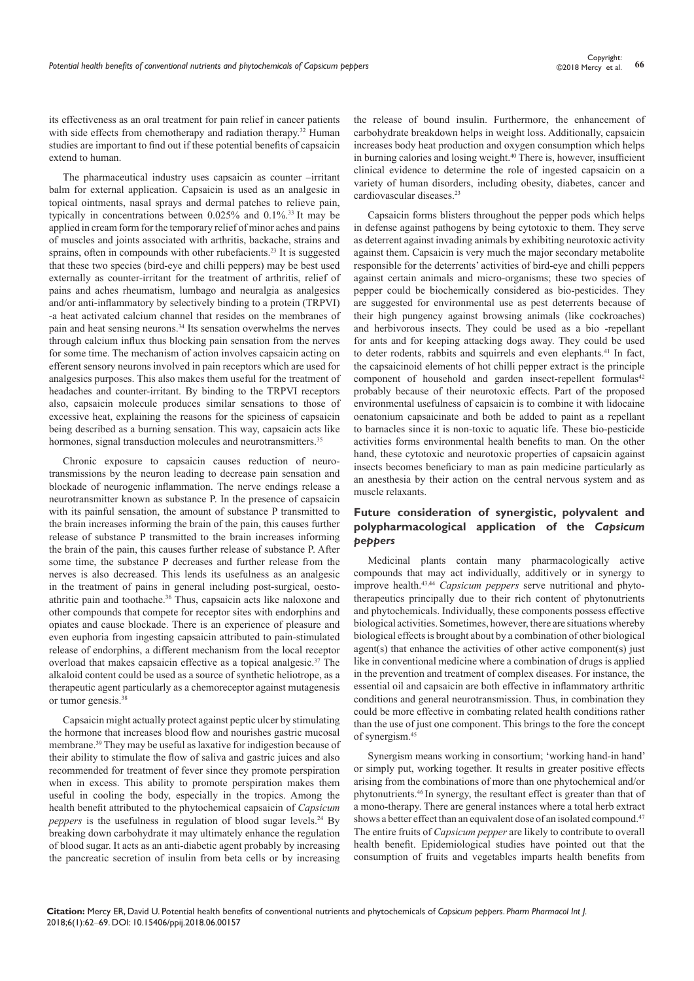its effectiveness as an oral treatment for pain relief in cancer patients with side effects from chemotherapy and radiation therapy.<sup>32</sup> Human studies are important to find out if these potential benefits of capsaicin extend to human.

The pharmaceutical industry uses capsaicin as counter –irritant balm for external application. Capsaicin is used as an analgesic in topical ointments, nasal sprays and dermal patches to relieve pain, typically in concentrations between 0.025% and 0.1%.33 It may be applied in cream form for the temporary relief of minor aches and pains of muscles and joints associated with arthritis, backache, strains and sprains, often in compounds with other rubefacients.<sup>23</sup> It is suggested that these two species (bird-eye and chilli peppers) may be best used externally as counter-irritant for the treatment of arthritis, relief of pains and aches rheumatism, lumbago and neuralgia as analgesics and/or anti-inflammatory by selectively binding to a protein (TRPVI) -a heat activated calcium channel that resides on the membranes of pain and heat sensing neurons.34 Its sensation overwhelms the nerves through calcium influx thus blocking pain sensation from the nerves for some time. The mechanism of action involves capsaicin acting on efferent sensory neurons involved in pain receptors which are used for analgesics purposes. This also makes them useful for the treatment of headaches and counter-irritant. By binding to the TRPVI receptors also, capsaicin molecule produces similar sensations to those of excessive heat, explaining the reasons for the spiciness of capsaicin being described as a burning sensation. This way, capsaicin acts like hormones, signal transduction molecules and neurotransmitters.<sup>35</sup>

Chronic exposure to capsaicin causes reduction of neurotransmissions by the neuron leading to decrease pain sensation and blockade of neurogenic inflammation. The nerve endings release a neurotransmitter known as substance P. In the presence of capsaicin with its painful sensation, the amount of substance P transmitted to the brain increases informing the brain of the pain, this causes further release of substance P transmitted to the brain increases informing the brain of the pain, this causes further release of substance P. After some time, the substance P decreases and further release from the nerves is also decreased. This lends its usefulness as an analgesic in the treatment of pains in general including post-surgical, oestoathritic pain and toothache.36 Thus, capsaicin acts like naloxone and other compounds that compete for receptor sites with endorphins and opiates and cause blockade. There is an experience of pleasure and even euphoria from ingesting capsaicin attributed to pain-stimulated release of endorphins, a different mechanism from the local receptor overload that makes capsaicin effective as a topical analgesic.37 The alkaloid content could be used as a source of synthetic heliotrope, as a therapeutic agent particularly as a chemoreceptor against mutagenesis or tumor genesis.<sup>38</sup>

Capsaicin might actually protect against peptic ulcer by stimulating the hormone that increases blood flow and nourishes gastric mucosal membrane.39 They may be useful as laxative for indigestion because of their ability to stimulate the flow of saliva and gastric juices and also recommended for treatment of fever since they promote perspiration when in excess. This ability to promote perspiration makes them useful in cooling the body, especially in the tropics. Among the health benefit attributed to the phytochemical capsaicin of *Capsicum peppers* is the usefulness in regulation of blood sugar levels.<sup>24</sup> By breaking down carbohydrate it may ultimately enhance the regulation of blood sugar. It acts as an anti-diabetic agent probably by increasing the pancreatic secretion of insulin from beta cells or by increasing

the release of bound insulin. Furthermore, the enhancement of carbohydrate breakdown helps in weight loss. Additionally, capsaicin increases body heat production and oxygen consumption which helps in burning calories and losing weight.<sup>40</sup> There is, however, insufficient clinical evidence to determine the role of ingested capsaicin on a variety of human disorders, including obesity, diabetes, cancer and cardiovascular diseases.23

Capsaicin forms blisters throughout the pepper pods which helps in defense against pathogens by being cytotoxic to them. They serve as deterrent against invading animals by exhibiting neurotoxic activity against them. Capsaicin is very much the major secondary metabolite responsible for the deterrents' activities of bird-eye and chilli peppers against certain animals and micro-organisms; these two species of pepper could be biochemically considered as bio-pesticides. They are suggested for environmental use as pest deterrents because of their high pungency against browsing animals (like cockroaches) and herbivorous insects. They could be used as a bio -repellant for ants and for keeping attacking dogs away. They could be used to deter rodents, rabbits and squirrels and even elephants.<sup>41</sup> In fact, the capsaicinoid elements of hot chilli pepper extract is the principle component of household and garden insect-repellent formulas $42$ probably because of their neurotoxic effects. Part of the proposed environmental usefulness of capsaicin is to combine it with lidocaine oenatonium capsaicinate and both be added to paint as a repellant to barnacles since it is non-toxic to aquatic life. These bio-pesticide activities forms environmental health benefits to man. On the other hand, these cytotoxic and neurotoxic properties of capsaicin against insects becomes beneficiary to man as pain medicine particularly as an anesthesia by their action on the central nervous system and as muscle relaxants.

## **Future consideration of synergistic, polyvalent and polypharmacological application of the** *Capsicum peppers*

Medicinal plants contain many pharmacologically active compounds that may act individually, additively or in synergy to improve health.43,44 *Capsicum peppers* serve nutritional and phytotherapeutics principally due to their rich content of phytonutrients and phytochemicals. Individually, these components possess effective biological activities. Sometimes, however, there are situations whereby biological effects is brought about by a combination of other biological agent(s) that enhance the activities of other active component(s) just like in conventional medicine where a combination of drugs is applied in the prevention and treatment of complex diseases. For instance, the essential oil and capsaicin are both effective in inflammatory arthritic conditions and general neurotransmission. Thus, in combination they could be more effective in combating related health conditions rather than the use of just one component. This brings to the fore the concept of synergism.45

Synergism means working in consortium; 'working hand-in hand' or simply put, working together. It results in greater positive effects arising from the combinations of more than one phytochemical and/or phytonutrients.46 In synergy, the resultant effect is greater than that of a mono-therapy. There are general instances where a total herb extract shows a better effect than an equivalent dose of an isolated compound.<sup>47</sup> The entire fruits of *Capsicum pepper* are likely to contribute to overall health benefit. Epidemiological studies have pointed out that the consumption of fruits and vegetables imparts health benefits from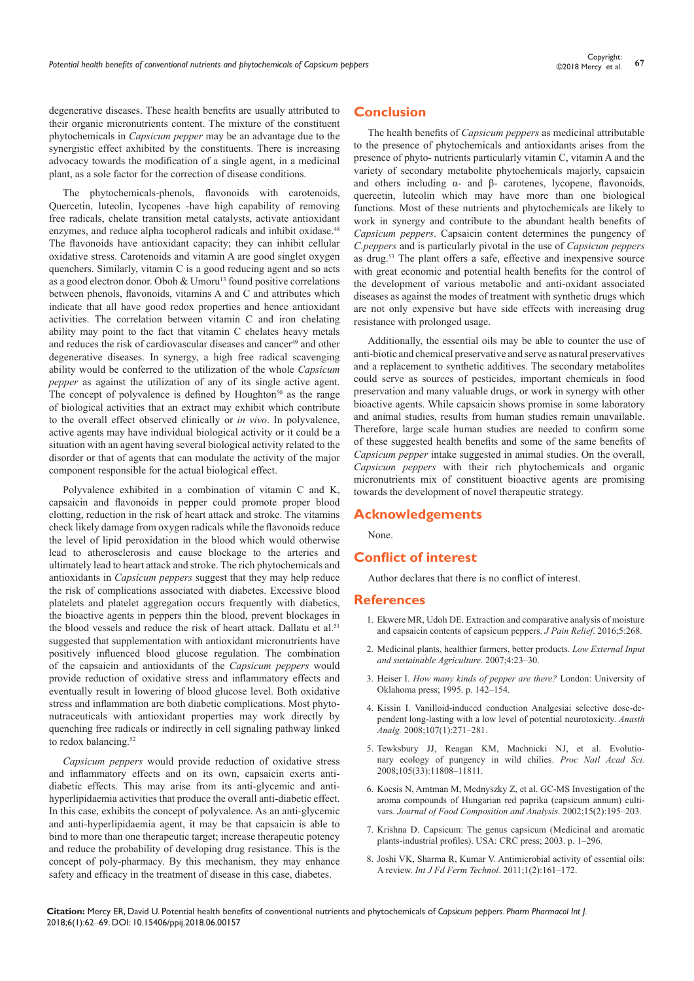degenerative diseases. These health benefits are usually attributed to their organic micronutrients content. The mixture of the constituent phytochemicals in *Capsicum pepper* may be an advantage due to the synergistic effect axhibited by the constituents. There is increasing advocacy towards the modification of a single agent, in a medicinal plant, as a sole factor for the correction of disease conditions.

The phytochemicals-phenols, flavonoids with carotenoids, Quercetin, luteolin, lycopenes -have high capability of removing free radicals, chelate transition metal catalysts, activate antioxidant enzymes, and reduce alpha tocopherol radicals and inhibit oxidase.<sup>48</sup> The flavonoids have antioxidant capacity; they can inhibit cellular oxidative stress. Carotenoids and vitamin A are good singlet oxygen quenchers. Similarly, vitamin C is a good reducing agent and so acts as a good electron donor. Oboh  $&$  Umoru<sup>13</sup> found positive correlations between phenols, flavonoids, vitamins A and C and attributes which indicate that all have good redox properties and hence antioxidant activities. The correlation between vitamin C and iron chelating ability may point to the fact that vitamin C chelates heavy metals and reduces the risk of cardiovascular diseases and cancer<sup>49</sup> and other degenerative diseases. In synergy, a high free radical scavenging ability would be conferred to the utilization of the whole *Capsicum pepper* as against the utilization of any of its single active agent. The concept of polyvalence is defined by  $H_{\text{O}}$  Houghton<sup>50</sup> as the range of biological activities that an extract may exhibit which contribute to the overall effect observed clinically or *in vivo*. In polyvalence, active agents may have individual biological activity or it could be a situation with an agent having several biological activity related to the disorder or that of agents that can modulate the activity of the major component responsible for the actual biological effect.

Polyvalence exhibited in a combination of vitamin C and K, capsaicin and flavonoids in pepper could promote proper blood clotting, reduction in the risk of heart attack and stroke. The vitamins check likely damage from oxygen radicals while the flavonoids reduce the level of lipid peroxidation in the blood which would otherwise lead to atherosclerosis and cause blockage to the arteries and ultimately lead to heart attack and stroke. The rich phytochemicals and antioxidants in *Capsicum peppers* suggest that they may help reduce the risk of complications associated with diabetes. Excessive blood platelets and platelet aggregation occurs frequently with diabetics, the bioactive agents in peppers thin the blood, prevent blockages in the blood vessels and reduce the risk of heart attack. Dallatu et al.<sup>51</sup> suggested that supplementation with antioxidant micronutrients have positively influenced blood glucose regulation. The combination of the capsaicin and antioxidants of the *Capsicum peppers* would provide reduction of oxidative stress and inflammatory effects and eventually result in lowering of blood glucose level. Both oxidative stress and inflammation are both diabetic complications. Most phytonutraceuticals with antioxidant properties may work directly by quenching free radicals or indirectly in cell signaling pathway linked to redox balancing.<sup>52</sup>

*Capsicum peppers* would provide reduction of oxidative stress and inflammatory effects and on its own, capsaicin exerts antidiabetic effects. This may arise from its anti-glycemic and antihyperlipidaemia activities that produce the overall anti-diabetic effect. In this case, exhibits the concept of polyvalence. As an anti-glycemic and anti-hyperlipidaemia agent, it may be that capsaicin is able to bind to more than one therapeutic target; increase therapeutic potency and reduce the probability of developing drug resistance. This is the concept of poly-pharmacy. By this mechanism, they may enhance safety and efficacy in the treatment of disease in this case, diabetes.

## **Conclusion**

The health benefits of *Capsicum peppers* as medicinal attributable to the presence of phytochemicals and antioxidants arises from the presence of phyto- nutrients particularly vitamin C, vitamin A and the variety of secondary metabolite phytochemicals majorly, capsaicin and others including α- and β- carotenes, lycopene, flavonoids, quercetin, luteolin which may have more than one biological functions. Most of these nutrients and phytochemicals are likely to work in synergy and contribute to the abundant health benefits of *Capsicum peppers*. Capsaicin content determines the pungency of *C.peppers* and is particularly pivotal in the use of *Capsicum peppers* as drug.53 The plant offers a safe, effective and inexpensive source with great economic and potential health benefits for the control of the development of various metabolic and anti-oxidant associated diseases as against the modes of treatment with synthetic drugs which are not only expensive but have side effects with increasing drug resistance with prolonged usage.

Additionally, the essential oils may be able to counter the use of anti-biotic and chemical preservative and serve as natural preservatives and a replacement to synthetic additives. The secondary metabolites could serve as sources of pesticides, important chemicals in food preservation and many valuable drugs, or work in synergy with other bioactive agents. While capsaicin shows promise in some laboratory and animal studies, results from human studies remain unavailable. Therefore, large scale human studies are needed to confirm some of these suggested health benefits and some of the same benefits of *Capsicum pepper* intake suggested in animal studies. On the overall, *Capsicum peppers* with their rich phytochemicals and organic micronutrients mix of constituent bioactive agents are promising towards the development of novel therapeutic strategy.

### **Acknowledgements**

None.

## **Conflict of interest**

Author declares that there is no conflict of interest.

#### **References**

- 1. [Ekwere MR, Udoh DE. Extraction and comparative analysis of moisture](https://www.omicsonline.org/open-access/extraction-and-comparative-analysis-of-moisture-and-capsaicin-contents-ofcapsicum-peppers-2167-0846-1000268.php?aid=80535)  [and capsaicin contents of capsicum peppers.](https://www.omicsonline.org/open-access/extraction-and-comparative-analysis-of-moisture-and-capsaicin-contents-ofcapsicum-peppers-2167-0846-1000268.php?aid=80535) *J Pain Relief*. 2016;5:268.
- 2. Medicinal plants, healthier farmers, better products. *Low External Input and sustainable Agriculture*. 2007;4:23‒30.
- 3. Heiser I. *How many kinds of pepper are there?* London: University of Oklahoma press; 1995. p. 142‒154.
- 4. [Kissin I. Vanilloid-induced conduction Analgesiai selective dose-de](https://www.ncbi.nlm.nih.gov/pubmed/18635498)[pendent long-lasting with a low level of potential neurotoxicity.](https://www.ncbi.nlm.nih.gov/pubmed/18635498) *Anasth Analg.* [2008;107\(1\):271‒281.](https://www.ncbi.nlm.nih.gov/pubmed/18635498)
- 5. [Tewksbury JJ, Reagan KM, Machnicki NJ, et al. Evolutio](https://www.ncbi.nlm.nih.gov/pubmed/18695236?dopt=Abstract)[nary ecology of pungency in wild chilies.](https://www.ncbi.nlm.nih.gov/pubmed/18695236?dopt=Abstract) *Proc Natl Acad Sci.*  [2008;105\(33\):11808‒11811.](https://www.ncbi.nlm.nih.gov/pubmed/18695236?dopt=Abstract)
- 6. [Kocsis N, Amtman M, Mednyszky Z, et al. GC-MS Investigation of the](https://www.sciencedirect.com/science/article/pii/S0889157501910452)  [aroma compounds of Hungarian red paprika \(capsicum annum\) culti](https://www.sciencedirect.com/science/article/pii/S0889157501910452)vars. *[Journal of Food Composition and Analysis](https://www.sciencedirect.com/science/article/pii/S0889157501910452)*. 2002:15(2):195–203.
- 7. Krishna D. Capsicum: The genus capsicum (Medicinal and aromatic plants-industrial profiles). USA: CRC press; 2003. p. 1-296.
- 8. Joshi VK, Sharma R, Kumar V. Antimicrobial activity of essential oils: A review. *Int J Fd Ferm Technol*. 2011;1(2):161-172.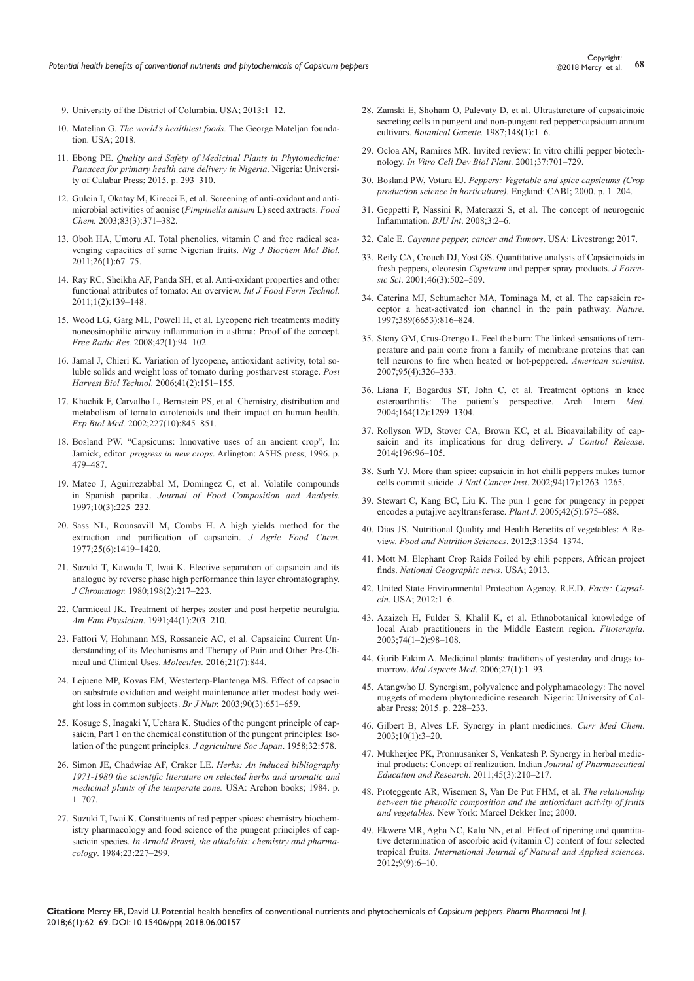- 9. University of the District of Columbia. USA; 2013:1-12.
- 10. Mateljan G. *The world's healthiest foods.* [The George Mateljan founda](http://www.whfoods.com/foodstoc.php)[tion. USA; 2018.](http://www.whfoods.com/foodstoc.php)
- 11. Ebong PE. *Quality and Safety of Medicinal Plants in Phytomedicine: Panacea for primary health care delivery in Nigeria*. Nigeria: University of Calabar Press; 2015. p. 293‒310.
- 12. [Gulcin I, Okatay M, Kirecci E, et al. Screening of anti-oxidant and anti](https://www.sciencedirect.com/science/article/pii/S0308814603000980)[microbial activities of aonise \(](https://www.sciencedirect.com/science/article/pii/S0308814603000980)*Pimpinella anisum* L) seed axtracts. *Food Chem.* [2003;83\(3\):371‒382.](https://www.sciencedirect.com/science/article/pii/S0308814603000980)
- 13. [Oboh HA, Umoru AI. Total phenolics, vitamin C and free radical sca](https://www.researchgate.net/publication/305277976_OBOH_HA_and_Umoru_A_I_2011_Total_phenolics_Vitamin_C_and_free_radical_scavenging_capacities_of_some_Nigerian_Fruits_Nigerian_Journal_of_Biochemistry_and_Molecular_Biology_26_1_67-75)[venging capacities of some Nigerian fruits.](https://www.researchgate.net/publication/305277976_OBOH_HA_and_Umoru_A_I_2011_Total_phenolics_Vitamin_C_and_free_radical_scavenging_capacities_of_some_Nigerian_Fruits_Nigerian_Journal_of_Biochemistry_and_Molecular_Biology_26_1_67-75) *Nig J Biochem Mol Biol*. [2011;26\(1\):67‒75.](https://www.researchgate.net/publication/305277976_OBOH_HA_and_Umoru_A_I_2011_Total_phenolics_Vitamin_C_and_free_radical_scavenging_capacities_of_some_Nigerian_Fruits_Nigerian_Journal_of_Biochemistry_and_Molecular_Biology_26_1_67-75)
- 14. [Ray RC, Sheikha AF, Panda SH, et al. Anti-oxidant properties and other](http://www.indianjournals.com/ijor.aspx?target=ijor:ijfft&volume=1&issue=2&article=001)  [functional attributes of tomato: An overview.](http://www.indianjournals.com/ijor.aspx?target=ijor:ijfft&volume=1&issue=2&article=001) *Int J Food Ferm Technol.*  [2011;1\(2\):139‒148.](http://www.indianjournals.com/ijor.aspx?target=ijor:ijfft&volume=1&issue=2&article=001)
- 15. [Wood LG, Garg ML, Powell H, et al. Lycopene rich treatments modify](https://www.ncbi.nlm.nih.gov/pubmed/18324527)  [noneosinophilic airway inflammation in asthma: Proof of the concept.](https://www.ncbi.nlm.nih.gov/pubmed/18324527)  *Free Radic Res.* [2008;42\(1\):94‒102.](https://www.ncbi.nlm.nih.gov/pubmed/18324527)
- 16. [Jamal J, Chieri K. Variation of lycopene, antioxidant activity, total so](https://www.sciencedirect.com/science/article/pii/S0925521406000895)[luble solids and weight loss of tomato during postharvest storage.](https://www.sciencedirect.com/science/article/pii/S0925521406000895) *Post [Harvest Biol Technol.](https://www.sciencedirect.com/science/article/pii/S0925521406000895)* 2006;41(2):151‒155.
- 17. [Khachik F, Carvalho L, Bernstein PS, et al. Chemistry, distribution and](https://www.ncbi.nlm.nih.gov/pubmed/12424324)  [metabolism of tomato carotenoids and their impact on human health.](https://www.ncbi.nlm.nih.gov/pubmed/12424324)  *Exp Biol Med.* [2002;227\(10\):845‒851.](https://www.ncbi.nlm.nih.gov/pubmed/12424324)
- 18. Bosland PW. "Capsicums: Innovative uses of an ancient crop", In: Jamick, editor. *progress in new crops*. Arlington: ASHS press; 1996. p. 479‒487.
- 19. [Mateo J, Aguirrezabbal M, Domingez C, et al. Volatile compounds](https://www.sciencedirect.com/science/article/pii/S0889157597905354)  in Spanish paprika. *[Journal of Food Composition and Analysis](https://www.sciencedirect.com/science/article/pii/S0889157597905354)*. [1997;10\(3\):225‒232.](https://www.sciencedirect.com/science/article/pii/S0889157597905354)
- 20. [Sass NL, Rounsavill M, Combs H. A high yields method for the](https://pubs.acs.org/doi/abs/10.1021/jf60214a035)  [extraction and purification of capsaicin.](https://pubs.acs.org/doi/abs/10.1021/jf60214a035) *J Agric Food Chem.*  [1977;25\(6\):1419‒1420.](https://pubs.acs.org/doi/abs/10.1021/jf60214a035)
- 21. [Suzuki T, Kawada T, Iwai K. Elective separation of capsaicin and its](https://www.sciencedirect.com/science/article/pii/S0021967300801144)  [analogue by reverse phase high performance thin layer chromatography.](https://www.sciencedirect.com/science/article/pii/S0021967300801144)  *J Chromatogr.* [1980;198\(2\):217‒223.](https://www.sciencedirect.com/science/article/pii/S0021967300801144)
- 22. [Carmiceal JK. Treatment of herpes zoster and post herpetic neuralgia.](https://www.ncbi.nlm.nih.gov/pubmed/1676237)  *Am Fam Physician*[. 1991;44\(1\):203‒210.](https://www.ncbi.nlm.nih.gov/pubmed/1676237)
- 23. [Fattori V, Hohmann MS, Rossaneie AC, et al. Capsaicin: Current Un](https://www.ncbi.nlm.nih.gov/pubmed/27367653)[derstanding of its Mechanisms and Therapy of Pain and Other Pre-Cli](https://www.ncbi.nlm.nih.gov/pubmed/27367653)[nical and Clinical Uses.](https://www.ncbi.nlm.nih.gov/pubmed/27367653) *Molecules.* 2016;21(7):844.
- 24. [Lejuene MP, Kovas EM, Westerterp-Plantenga MS. Effect of capsacin](https://www.ncbi.nlm.nih.gov/pubmed/13129472)  [on substrate oxidation and weight maintenance after modest body wei](https://www.ncbi.nlm.nih.gov/pubmed/13129472)[ght loss in common subjects.](https://www.ncbi.nlm.nih.gov/pubmed/13129472) *Br J Nutr*. 2003;90(3):651-659.
- 25. Kosuge S, Inagaki Y, Uehara K. Studies of the pungent principle of capsaicin, Part 1 on the chemical constitution of the pungent principles: Isolation of the pungent principles. *J agriculture Soc Japan*. 1958;32:578.
- 26. Simon JE, Chadwiac AF, Craker LE. *Herbs: An induced bibliography 1971-1980 the scientific literature on selected herbs and aromatic and medicinal plants of the temperate zone.* USA: Archon books; 1984. p.  $1 - 707$
- 27. Suzuki T, Iwai K. Constituents of red pepper spices: chemistry biochemistry pharmacology and food science of the pungent principles of capsacicin species. *In Arnold Brossi, the alkaloids: chemistry and pharmacology*. 1984;23:227‒299.
- 28. [Zamski E, Shoham O, Palevaty D, et al. Ultrasturcture of capsaicinoic](http://www.journals.uchicago.edu/doi/abs/10.1086/337620)  [secreting cells in pungent and non-pungent red pepper/capsicum annum](http://www.journals.uchicago.edu/doi/abs/10.1086/337620)  cultivars. *[Botanical Gazette.](http://www.journals.uchicago.edu/doi/abs/10.1086/337620)* 1987;148(1):1‒6.
- 29. Ocloa AN, Ramires MR. Invited review: In vitro chilli pepper biotechnology. *In Vitro Cell Dev Biol Plant*. 2001;37:701‒729.
- 30. Bosland PW, Votara EJ. *Peppers: Vegetable and spice capsicums (Crop production science in horticulture).* England: CABI; 2000. p. 1‒204.
- 31. [Geppetti P, Nassini R, Materazzi S, et al. The concept of neurogenic](https://www.ncbi.nlm.nih.gov/pubmed/18307678)  [Inflammation.](https://www.ncbi.nlm.nih.gov/pubmed/18307678) *BJU Int*. 2008;3:2‒6.
- 32. Cale E. *[Cayenne pepper, cancer and Tumors](https://www.livestrong.com/article/494337-cayenne-pepper-cancer-tumors/)*. USA: Livestrong; 2017.
- 33. [Reily CA, Crouch DJ, Yost GS. Quantitative analysis of Capsicinoids in](https://www.ncbi.nlm.nih.gov/pubmed/11372985)  fresh peppers, oleoresin *Capsicum* [and pepper spray products.](https://www.ncbi.nlm.nih.gov/pubmed/11372985) *J Forensic Sci*[. 2001;46\(3\):502‒509.](https://www.ncbi.nlm.nih.gov/pubmed/11372985)
- 34. [Caterina MJ, Schumacher MA, Tominaga M, et al. The capsaicin re](https://www.ncbi.nlm.nih.gov/pubmed/9349813)[ceptor a heat-activated ion channel in the pain pathway.](https://www.ncbi.nlm.nih.gov/pubmed/9349813) *Nature.*  [1997;389\(6653\):816‒824.](https://www.ncbi.nlm.nih.gov/pubmed/9349813)
- 35. [Stony GM, Crus-Orengo L. Feel the burn: The linked sensations of tem](https://www.jstor.org/stable/27858994)[perature and pain come from a family of membrane proteins that can](https://www.jstor.org/stable/27858994)  [tell neurons to fire when heated or hot-peppered.](https://www.jstor.org/stable/27858994) *American scientist*. [2007;95\(4\):326‒333.](https://www.jstor.org/stable/27858994)
- 36. [Liana F, Bogardus ST, John C, et al. Treatment options in knee](https://www.ncbi.nlm.nih.gov/pubmed/15226163)  [osteroarthritis: The patient's perspective. Arch Intern](https://www.ncbi.nlm.nih.gov/pubmed/15226163) *Med.* [2004;164\(12\):1299‒1304.](https://www.ncbi.nlm.nih.gov/pubmed/15226163)
- 37. [Rollyson WD, Stover CA, Brown KC, et al. Bioavailability of cap](https://www.ncbi.nlm.nih.gov/pubmed/25307998)[saicin and its implications for drug delivery.](https://www.ncbi.nlm.nih.gov/pubmed/25307998) *J Control Release*. [2014;196:96‒105.](https://www.ncbi.nlm.nih.gov/pubmed/25307998)
- 38. [Surh YJ. More than spice: capsaicin in hot chilli peppers makes tumor](https://www.ncbi.nlm.nih.gov/pubmed/12208886)  cells commit suicide. *J Natl Cancer Inst*[. 2002;94\(17\):1263‒1265.](https://www.ncbi.nlm.nih.gov/pubmed/12208886)
- 39. [Stewart C, Kang BC, Liu K. The pun 1 gene for pungency in pepper](https://www.ncbi.nlm.nih.gov/pubmed/15918882)  [encodes a putajive acyltransferase.](https://www.ncbi.nlm.nih.gov/pubmed/15918882) *Plant J.* 2005;42(5):675-688.
- 40. [Dias JS. Nutritional Quality and Health Benefits of vegetables: A Re](https://file.scirp.org/pdf/FNS20121000003_50900123.pdf)-view. [Food and Nutrition Sciences](https://file.scirp.org/pdf/FNS20121000003_50900123.pdf). 2012;3:1354-1374.
- 41. [Mott M. Elephant Crop Raids Foiled by chili peppers, African project](https://news.nationalgeographic.com/news/2006/09/060918-elephants-chili.html)  finds. *[National Geographic news](https://news.nationalgeographic.com/news/2006/09/060918-elephants-chili.html)*. USA; 2013.
- 42. [United State Environmental Protection Agency. R.E.D.](https://archive.epa.gov/pesticides/reregistration/web/pdf/4018fact.pdf) *Facts: Capsaicin*[. USA; 2012:1‒6.](https://archive.epa.gov/pesticides/reregistration/web/pdf/4018fact.pdf)
- 43. [Azaizeh H, Fulder S, Khalil K, et al. Ethnobotanical knowledge of](https://www.ncbi.nlm.nih.gov/pubmed/12628401)  [local Arab practitioners in the Middle Eastern region.](https://www.ncbi.nlm.nih.gov/pubmed/12628401) *Fitoterapia*. [2003;74\(1‒2\):98‒108.](https://www.ncbi.nlm.nih.gov/pubmed/12628401)
- 44. [Gurib Fakim A. Medicinal plants: traditions of yesterday and drugs to](https://www.ncbi.nlm.nih.gov/pubmed/16105678)morrow. *Mol Aspects Med*[. 2006;27\(1\):1‒93.](https://www.ncbi.nlm.nih.gov/pubmed/16105678)
- 45. Atangwho IJ. Synergism, polyvalence and polyphamacology: The novel nuggets of modern phytomedicine research. Nigeria: University of Calabar Press; 2015. p. 228‒233.
- 46. [Gilbert B, Alves LF. Synergy in plant medicines.](https://www.ncbi.nlm.nih.gov/pubmed/12570718) *Curr Med Chem*.  $2003;10(1):3-20.$
- 47. [Mukherjee PK, Pronnusanker S, Venkatesh P. Synergy in herbal medic](http://www.ijper.org/article/330)[inal products: Concept of realization. Indian](http://www.ijper.org/article/330) *Journal of Pharmaceutical [Education and Research](http://www.ijper.org/article/330)*. 2011;45(3):210‒217.
- 48. Proteggente AR, Wisemen S, Van De Put FHM, et al. *The relationship between the phenolic composition and the antioxidant activity of fruits and vegetables.* New York: Marcel Dekker Inc; 2000.
- 49. Ekwere MR, Agha NC, Kalu NN, et al. Effect of ripening and quantitative determination of ascorbic acid (vitamin C) content of four selected tropical fruits. *International Journal of Natural and Applied sciences*. 2012;9(9):6‒10.

**Citation:** Mercy ER, David U. Potential health benefits of conventional nutrients and phytochemicals of *Capsicum peppers*. *Pharm Pharmacol Int J.* 2018;6(1):62‒69. DOI: [10.15406/ppij.2018.06.00157](https://doi.org/10.15406/ppij.2018.06.00157
)